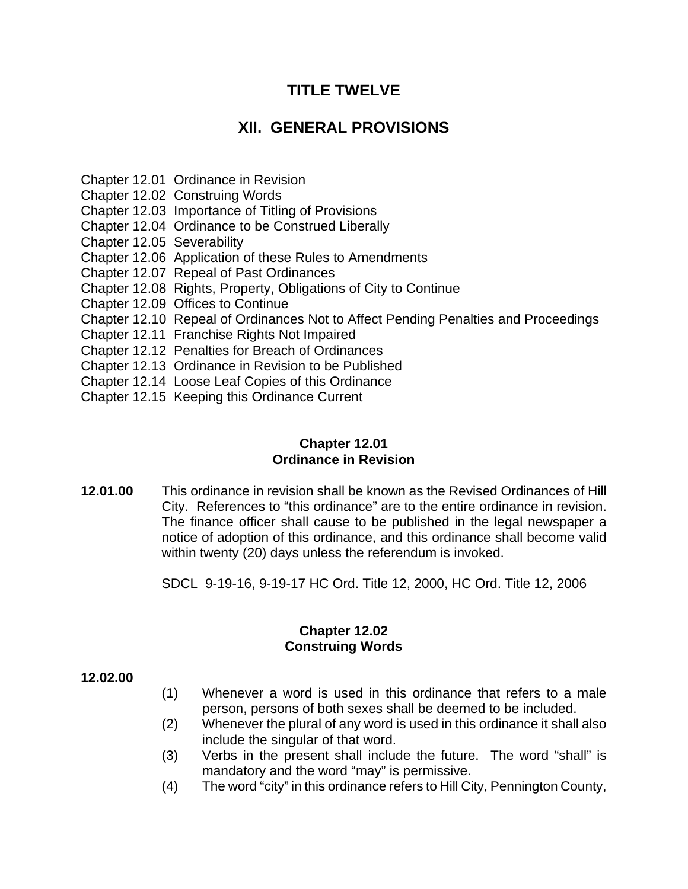# **TITLE TWELVE**

# **XII. GENERAL PROVISIONS**

Chapter 12.01 Ordinance in Revision

Chapter 12.02 Construing Words

Chapter 12.03 Importance of Titling of Provisions

Chapter 12.04 Ordinance to be Construed Liberally

Chapter 12.05 Severability

Chapter 12.06 Application of these Rules to Amendments

Chapter 12.07 Repeal of Past Ordinances

Chapter 12.08 Rights, Property, Obligations of City to Continue

Chapter 12.09 Offices to Continue

Chapter 12.10 Repeal of Ordinances Not to Affect Pending Penalties and Proceedings

Chapter 12.11 Franchise Rights Not Impaired

Chapter 12.12 Penalties for Breach of Ordinances

Chapter 12.13 Ordinance in Revision to be Published

Chapter 12.14 Loose Leaf Copies of this Ordinance

Chapter 12.15 Keeping this Ordinance Current

## **Chapter 12.01 Ordinance in Revision**

**12.01.00** This ordinance in revision shall be known as the Revised Ordinances of Hill City. References to "this ordinance" are to the entire ordinance in revision. The finance officer shall cause to be published in the legal newspaper a notice of adoption of this ordinance, and this ordinance shall become valid within twenty (20) days unless the referendum is invoked.

SDCL 9-19-16, 9-19-17 HC Ord. Title 12, 2000, HC Ord. Title 12, 2006

## **Chapter 12.02 Construing Words**

#### **12.02.00**

- (1) Whenever a word is used in this ordinance that refers to a male person, persons of both sexes shall be deemed to be included.
- (2) Whenever the plural of any word is used in this ordinance it shall also include the singular of that word.
- (3) Verbs in the present shall include the future. The word "shall" is mandatory and the word "may" is permissive.
- (4) The word "city" in this ordinance refers to Hill City, Pennington County,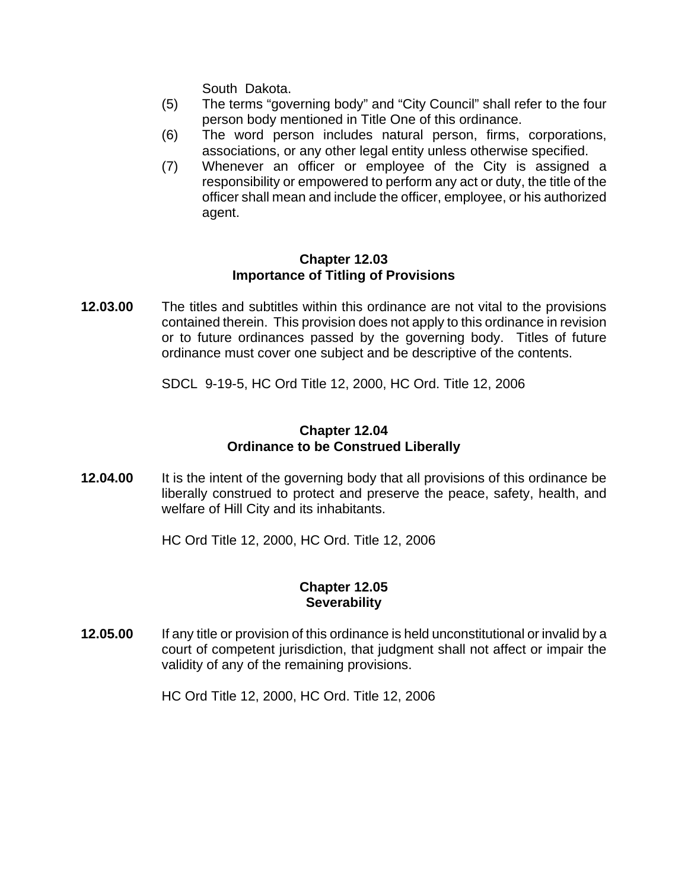South Dakota.

- (5) The terms "governing body" and "City Council" shall refer to the four person body mentioned in Title One of this ordinance.
- (6) The word person includes natural person, firms, corporations, associations, or any other legal entity unless otherwise specified.
- (7) Whenever an officer or employee of the City is assigned a responsibility or empowered to perform any act or duty, the title of the officer shall mean and include the officer, employee, or his authorized agent.

## **Chapter 12.03 Importance of Titling of Provisions**

**12.03.00** The titles and subtitles within this ordinance are not vital to the provisions contained therein. This provision does not apply to this ordinance in revision or to future ordinances passed by the governing body. Titles of future ordinance must cover one subject and be descriptive of the contents.

SDCL 9-19-5, HC Ord Title 12, 2000, HC Ord. Title 12, 2006

## **Chapter 12.04 Ordinance to be Construed Liberally**

**12.04.00** It is the intent of the governing body that all provisions of this ordinance be liberally construed to protect and preserve the peace, safety, health, and welfare of Hill City and its inhabitants.

HC Ord Title 12, 2000, HC Ord. Title 12, 2006

## **Chapter 12.05 Severability**

**12.05.00** If any title or provision of this ordinance is held unconstitutional or invalid by a court of competent jurisdiction, that judgment shall not affect or impair the validity of any of the remaining provisions.

HC Ord Title 12, 2000, HC Ord. Title 12, 2006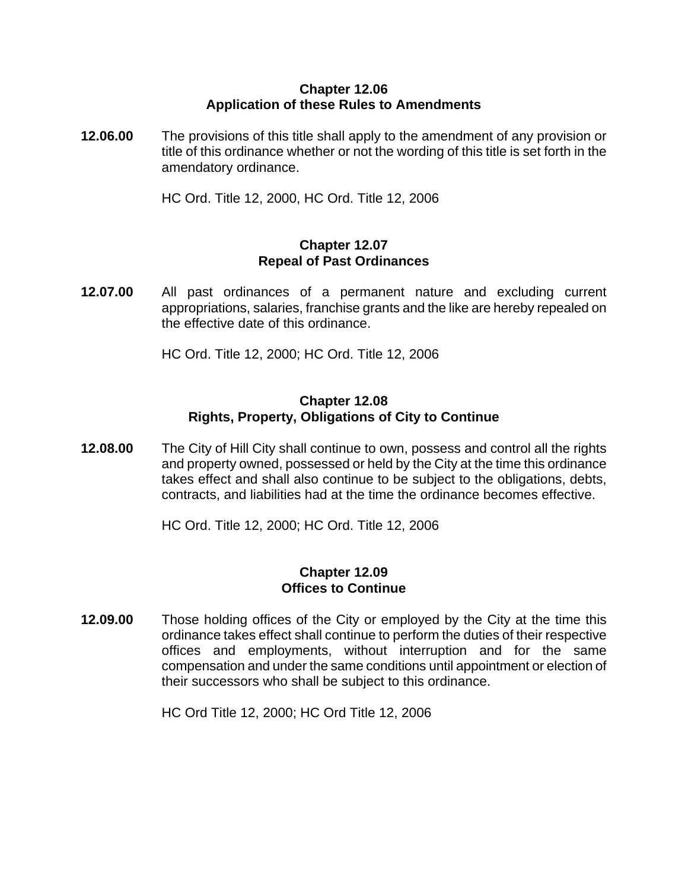## **Chapter 12.06 Application of these Rules to Amendments**

**12.06.00** The provisions of this title shall apply to the amendment of any provision or title of this ordinance whether or not the wording of this title is set forth in the amendatory ordinance.

HC Ord. Title 12, 2000, HC Ord. Title 12, 2006

## **Chapter 12.07 Repeal of Past Ordinances**

**12.07.00** All past ordinances of a permanent nature and excluding current appropriations, salaries, franchise grants and the like are hereby repealed on the effective date of this ordinance.

HC Ord. Title 12, 2000; HC Ord. Title 12, 2006

## **Chapter 12.08 Rights, Property, Obligations of City to Continue**

**12.08.00** The City of Hill City shall continue to own, possess and control all the rights and property owned, possessed or held by the City at the time this ordinance takes effect and shall also continue to be subject to the obligations, debts, contracts, and liabilities had at the time the ordinance becomes effective.

HC Ord. Title 12, 2000; HC Ord. Title 12, 2006

#### **Chapter 12.09 Offices to Continue**

**12.09.00** Those holding offices of the City or employed by the City at the time this ordinance takes effect shall continue to perform the duties of their respective offices and employments, without interruption and for the same compensation and under the same conditions until appointment or election of their successors who shall be subject to this ordinance.

HC Ord Title 12, 2000; HC Ord Title 12, 2006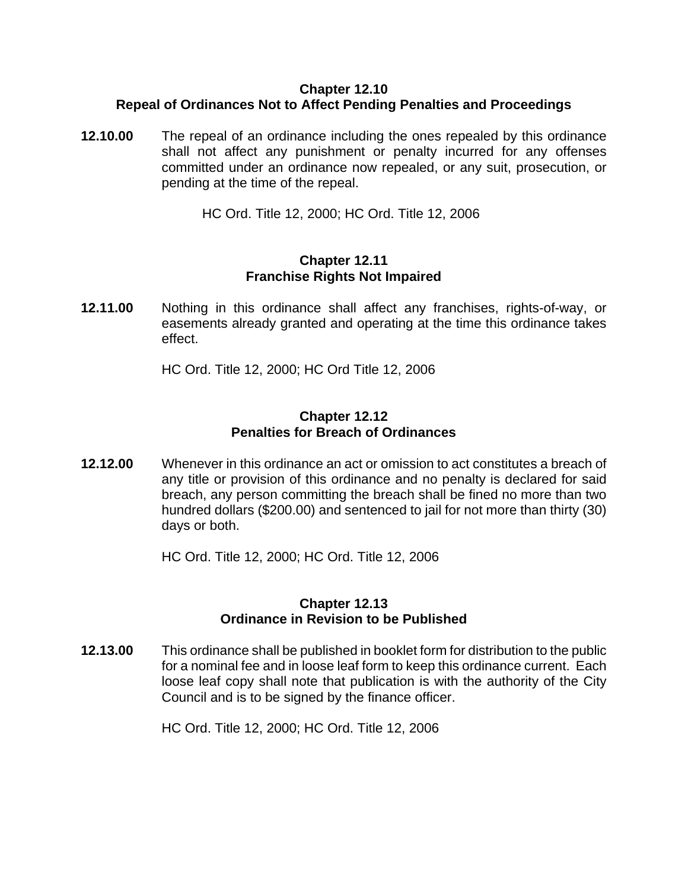## **Chapter 12.10 Repeal of Ordinances Not to Affect Pending Penalties and Proceedings**

**12.10.00** The repeal of an ordinance including the ones repealed by this ordinance shall not affect any punishment or penalty incurred for any offenses committed under an ordinance now repealed, or any suit, prosecution, or pending at the time of the repeal.

HC Ord. Title 12, 2000; HC Ord. Title 12, 2006

## **Chapter 12.11 Franchise Rights Not Impaired**

**12.11.00** Nothing in this ordinance shall affect any franchises, rights-of-way, or easements already granted and operating at the time this ordinance takes effect.

HC Ord. Title 12, 2000; HC Ord Title 12, 2006

## **Chapter 12.12 Penalties for Breach of Ordinances**

**12.12.00** Whenever in this ordinance an act or omission to act constitutes a breach of any title or provision of this ordinance and no penalty is declared for said breach, any person committing the breach shall be fined no more than two hundred dollars (\$200.00) and sentenced to jail for not more than thirty (30) days or both.

HC Ord. Title 12, 2000; HC Ord. Title 12, 2006

## **Chapter 12.13 Ordinance in Revision to be Published**

**12.13.00** This ordinance shall be published in booklet form for distribution to the public for a nominal fee and in loose leaf form to keep this ordinance current. Each loose leaf copy shall note that publication is with the authority of the City Council and is to be signed by the finance officer.

HC Ord. Title 12, 2000; HC Ord. Title 12, 2006